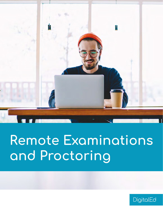

## **Remote Examinations and Proctoring**

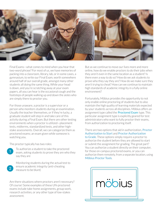

Final Exams—what comes to mind when you hear that two-word phrase? For most of us, we have memories of packing into a classroom, library, lab, or in some cases, a gymnasium, to write our Final Exam, worth somewhere around half of our overall grade, amongst many other students all doing the same thing. While your head is down, and you're scratching away at your exam papers, all you can hear is the occasional cough and the footsteps of people walking up and down the aisles who are simply there to proctor you.

For those unaware, a proctor is a supervisor or a person who monitors students during an examination. Usually the teacher themselves, or if they're lucky, a graduate student will step in and take care of this activity during a Final Exam. But there are other testing environments when a proctor is utilized—placement tests, midterms, standardized tests, and other highstake assessments. Overall, we can categorize them as proctored exams; an exam given while someone is watching you.

The proctor typically has two roles:

**2**

**<sup>1</sup>** To authorize a student to take the proctored exam, asking students to prove they are who they say they are

Monitoring students during the actual test to ensure academic integrity (anti-cheating measure to be blunt)

Are there situations where proctors aren't necessary? Of course! Some examples of these UN-proctored exams include take-home assignments, group work, research activities, or any other type of low-stakes assessment.

But as we continue to move our lives more and more online, how do we enable proctors to do their jobs when they aren't even in the same location as a student? Is there even a way to do so? How do we ask students to prove who they say they are? How do we make sure they aren't trying to cheat? How can we continue to maintain high standards of academic integrity in a fully online environment?

Fortunately, Möbius provides the opportunity to not only enable online proctoring of students but to also maintain the high quality of learning materials expected by your students across all disciplines. Möbius offers an assignment type called the **Proctored Exam** type. This particular assignment type is explicitly geared for test administrators who want to fully proctor their exams, from authorization to proctoring itself.

There are two options that aid in authorization. **Proctor** Authorization to Start and Proctor Authorization to Grade. These options simply require a proctor to authorize the student before they are allowed to start or submit the assignment for grading. The great part? You can authorize a student directly on their computer, for those on-campus proctored exams, or you can authorize them remotely, from a separate location, using Möbius Proctor Tools.

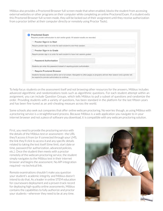Möbius also provides a Proctored Browser full-screen mode that when enabled, blocks the student from accessing external websites or other programs on their computer while completing an online Proctored Exam. If a student exits this Proctored Browser full-screen mode, they will be locked out of their assignment until they receive authorization from a proctor (either at their computer directly or remotely using Proctor Tools).

| Proctor Sign-in to Start                                                        |  |  |
|---------------------------------------------------------------------------------|--|--|
| Require proctor sign-in in order for each student to start their session.       |  |  |
| Proctor Sign-in to Grade                                                        |  |  |
| Require proctor sign-in in order for each student to have their session graded. |  |  |
| <b>Password Authorization</b>                                                   |  |  |
| Students can enter this password instead of requiring proctor authorization     |  |  |
| Require Proctored Browser                                                       |  |  |

To help focus students on the assessment itself and not browsing other resources for the answers, Möbius includes advanced algorithmic and randomizations tools such as algorithmic questions. For each student attempt within an assignment, you can include Question Groups, which tells Möbius to pull a subset of questions and randomize the order. Providing students with a variety of questions, has been standard in the platform for the last fifteen years and has been fine-tuned as an anti-cheating measure across the world.

Some schools also seek out companies that offer online webcam proctoring. No worries though, as using Möbius with a proctoring service is a straightforward process. Because Möbius is a web application you navigate to in your internet browser and not a piece of software you download, it is compatible with any webcam proctoring solution.

First, you need to provide the proctoring service with the details of the Möbius test or assessment—the URL they'll access it from (or if connected through your LMS, the link they'll click to access it and any specific details related to taking the test itself (time limit, start date or time, password for authorization, advanced policies, etc.). Once the student then meets with a proctor remotely of the webcam proctoring service, the student simply navigates to the Möbius test in their internet browser and begins the assessment. No API integration required—no technical link.

Remote examinations shouldn't make you question your student's academic integrity and Möbius doesn't intend to do that. As a leader in online STEM education for courseware deployment and a proven track record for deploying high-quality online assessments, Möbius contains the capabilities to fully authorize and proctor your students—wherever they need to be at any time.